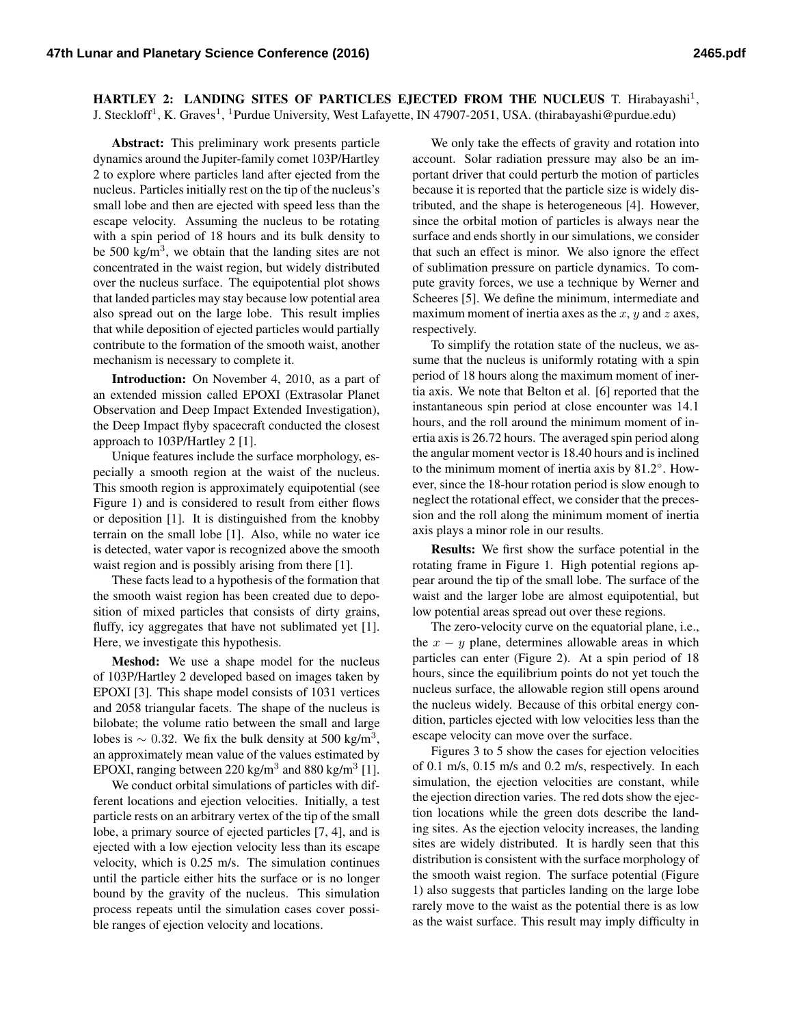HARTLEY 2: LANDING SITES OF PARTICLES EJECTED FROM THE NUCLEUS T. Hirabayashi<sup>1</sup>, J. Steckloff<sup>1</sup>, K. Graves<sup>1</sup>, <sup>1</sup>Purdue University, West Lafayette, IN 47907-2051, USA. (thirabayashi@purdue.edu)

Abstract: This preliminary work presents particle dynamics around the Jupiter-family comet 103P/Hartley 2 to explore where particles land after ejected from the nucleus. Particles initially rest on the tip of the nucleus's small lobe and then are ejected with speed less than the escape velocity. Assuming the nucleus to be rotating with a spin period of 18 hours and its bulk density to be 500 kg/m<sup>3</sup>, we obtain that the landing sites are not concentrated in the waist region, but widely distributed over the nucleus surface. The equipotential plot shows that landed particles may stay because low potential area also spread out on the large lobe. This result implies that while deposition of ejected particles would partially contribute to the formation of the smooth waist, another mechanism is necessary to complete it.

Introduction: On November 4, 2010, as a part of an extended mission called EPOXI (Extrasolar Planet Observation and Deep Impact Extended Investigation), the Deep Impact flyby spacecraft conducted the closest approach to 103P/Hartley 2 [\[1\]](#page-1-0).

Unique features include the surface morphology, especially a smooth region at the waist of the nucleus. This smooth region is approximately equipotential (see Figure [1\)](#page-1-1) and is considered to result from either flows or deposition [\[1\]](#page-1-0). It is distinguished from the knobby terrain on the small lobe [\[1\]](#page-1-0). Also, while no water ice is detected, water vapor is recognized above the smooth waist region and is possibly arising from there [\[1\]](#page-1-0).

These facts lead to a hypothesis of the formation that the smooth waist region has been created due to deposition of mixed particles that consists of dirty grains, fluffy, icy aggregates that have not sublimated yet [\[1\]](#page-1-0). Here, we investigate this hypothesis.

Meshod: We use a shape model for the nucleus of 103P/Hartley 2 developed based on images taken by EPOXI [\[3\]](#page-1-2). This shape model consists of 1031 vertices and 2058 triangular facets. The shape of the nucleus is bilobate; the volume ratio between the small and large lobes is  $\sim 0.32$ . We fix the bulk density at 500 kg/m<sup>3</sup>, an approximately mean value of the values estimated by EPOXI, ranging between 220 kg/m<sup>3</sup> and 880 kg/m<sup>3</sup> [\[1\]](#page-1-0).

We conduct orbital simulations of particles with different locations and ejection velocities. Initially, a test particle rests on an arbitrary vertex of the tip of the small lobe, a primary source of ejected particles [\[7,](#page-1-3) [4\]](#page-1-4), and is ejected with a low ejection velocity less than its escape velocity, which is 0.25 m/s. The simulation continues until the particle either hits the surface or is no longer bound by the gravity of the nucleus. This simulation process repeats until the simulation cases cover possible ranges of ejection velocity and locations.

We only take the effects of gravity and rotation into account. Solar radiation pressure may also be an important driver that could perturb the motion of particles because it is reported that the particle size is widely distributed, and the shape is heterogeneous [\[4\]](#page-1-4). However, since the orbital motion of particles is always near the surface and ends shortly in our simulations, we consider that such an effect is minor. We also ignore the effect of sublimation pressure on particle dynamics. To compute gravity forces, we use a technique by Werner and Scheeres [\[5\]](#page-1-5). We define the minimum, intermediate and maximum moment of inertia axes as the  $x$ ,  $y$  and  $z$  axes, respectively.

To simplify the rotation state of the nucleus, we assume that the nucleus is uniformly rotating with a spin period of 18 hours along the maximum moment of inertia axis. We note that Belton et al. [\[6\]](#page-1-6) reported that the instantaneous spin period at close encounter was 14.1 hours, and the roll around the minimum moment of inertia axis is 26.72 hours. The averaged spin period along the angular moment vector is 18.40 hours and is inclined to the minimum moment of inertia axis by 81.2◦ . However, since the 18-hour rotation period is slow enough to neglect the rotational effect, we consider that the precession and the roll along the minimum moment of inertia axis plays a minor role in our results.

Results: We first show the surface potential in the rotating frame in Figure [1.](#page-1-1) High potential regions appear around the tip of the small lobe. The surface of the waist and the larger lobe are almost equipotential, but low potential areas spread out over these regions.

The zero-velocity curve on the equatorial plane, i.e., the  $x - y$  plane, determines allowable areas in which particles can enter (Figure [2\)](#page-1-7). At a spin period of 18 hours, since the equilibrium points do not yet touch the nucleus surface, the allowable region still opens around the nucleus widely. Because of this orbital energy condition, particles ejected with low velocities less than the escape velocity can move over the surface.

Figures [3](#page-1-8) to [5](#page-1-9) show the cases for ejection velocities of 0.1 m/s, 0.15 m/s and 0.2 m/s, respectively. In each simulation, the ejection velocities are constant, while the ejection direction varies. The red dots show the ejection locations while the green dots describe the landing sites. As the ejection velocity increases, the landing sites are widely distributed. It is hardly seen that this distribution is consistent with the surface morphology of the smooth waist region. The surface potential (Figure [1\)](#page-1-1) also suggests that particles landing on the large lobe rarely move to the waist as the potential there is as low as the waist surface. This result may imply difficulty in